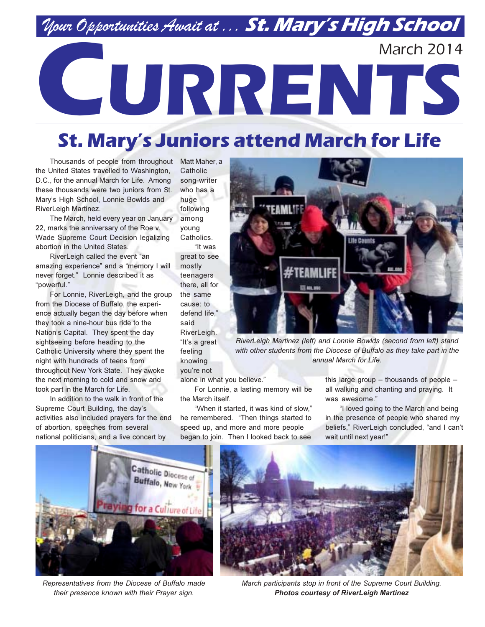## Nour Opportunities Await at ... St. Mary's High School

# **March 2014** CURRENTS

### **St. Mary's Juniors attend March for Life**

Thousands of people from throughout the United States travelled to Washington, D.C., for the annual March for Life. Among these thousands were two juniors from St. Mary's High School, Lonnie Bowlds and RiverLeigh Martinez.

The March, held every year on January 22. marks the anniversary of the Roe y. Wade Supreme Court Decision legalizing abortion in the United States.

RiverLeigh called the event "an amazing experience" and a "memory I will never forget." Lonnie described it as "powerful."

For Lonnie, RiverLeigh, and the group from the Diocese of Buffalo, the experience actually began the day before when they took a nine-hour bus ride to the Nation's Capital. They spent the day sightseeing before heading to the Catholic University where they spent the night with hundreds of teens from throughout New York State. They awoke the next morning to cold and snow and took part in the March for Life.

In addition to the walk in front of the Supreme Court Building, the day's activities also included prayers for the end of abortion, speeches from several national politicians, and a live concert by

Matt Maher, a Catholic song-writer who has a huge following among vouna Catholics. "It was great to see mostly teenagers there, all for the same cause: to defend life." hiez RiverLeigh. "It's a great feeling knowing you're not

alone in what you believe."

For Lonnie, a lasting memory will be the March itself.

"When it started, it was kind of slow," he remembered. "Then things started to speed up, and more and more people began to join. Then I looked back to see

this large group - thousands of people all walking and chanting and praying. It was awesome."

"I loved going to the March and being in the presence of people who shared my beliefs," RiverLeigh concluded, "and I can't wait until next year!"



Representatives from the Diocese of Buffalo made their presence known with their Prayer sign.



March participants stop in front of the Supreme Court Building. **Photos courtesy of RiverLeigh Martinez** 



RiverLeigh Martinez (left) and Lonnie Bowlds (second from left) stand with other students from the Diocese of Buffalo as they take part in the annual March for Life.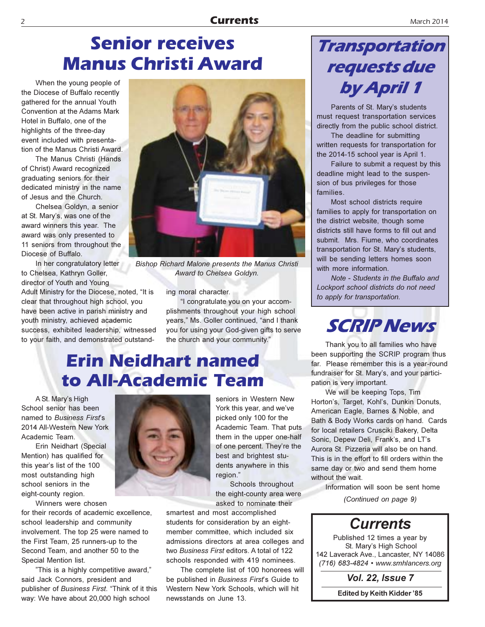#### March 2014

### **Senior receives Manus Christi Award**

When the young people of the Diocese of Buffalo recently gathered for the annual Youth Convention at the Adams Mark Hotel in Buffalo, one of the highlights of the three-day event included with presentation of the Manus Christi Award.

The Manus Christi (Hands of Christ) Award recognized graduating seniors for their dedicated ministry in the name of Jesus and the Church.

Chelsea Goldyn, a senior at St. Mary's, was one of the award winners this year. The award was only presented to 11 seniors from throughout the Diocese of Buffalo.

In her congratulatory letter to Chelsea, Kathryn Goller, director of Youth and Young

Adult Ministry for the Diocese, noted, "It is clear that throughout high school, you have been active in parish ministry and youth ministry, achieved academic success, exhibited leadership, witnessed to your faith, and demonstrated outstand-



Bishop Richard Malone presents the Manus Christi Award to Chelsea Goldyn.

ing moral character.

"I congratulate you on your accomplishments throughout your high school years," Ms. Goller continued, "and I thank you for using your God-given gifts to serve the church and your community."

### **Erin Neidhart named** to All-Academic Team

A St. Mary's High School senior has been named to Business First's 2014 All-Western New York Academic Team.

Erin Neidhart (Special Mention) has qualified for this year's list of the 100 most outstanding high school seniors in the eight-county region.

Winners were chosen for their records of academic excellence. school leadership and community involvement. The top 25 were named to the First Team. 25 runners-up to the Second Team, and another 50 to the Special Mention list.

"This is a highly competitive award," said Jack Connors, president and publisher of Business First. "Think of it this way: We have about 20,000 high school



seniors in Western New York this year, and we've picked only 100 for the Academic Team. That puts them in the upper one-half of one percent. They're the best and brightest students anywhere in this region."

Schools throughout the eight-county area were asked to nominate their

smartest and most accomplished students for consideration by an eightmember committee, which included six admissions directors at area colleges and two Business First editors. A total of 122 schools responded with 419 nominees.

The complete list of 100 honorees will be published in Business First's Guide to Western New York Schools, which will hit newsstands on June 13.

### Transportation requests due by April 1

Parents of St. Mary's students must request transportation services directly from the public school district.

The deadline for submitting written requests for transportation for the 2014-15 school year is April 1.

Failure to submit a request by this deadline might lead to the suspension of bus privileges for those families.

Most school districts require families to apply for transportation on the district website, though some districts still have forms to fill out and submit. Mrs. Fiume, who coordinates transportation for St. Mary's students, will be sending letters homes soon with more information

Note - Students in the Buffalo and Lockport school districts do not need to apply for transportation.



Thank you to all families who have been supporting the SCRIP program thus far. Please remember this is a year-round fundraiser for St. Mary's, and your participation is very important.

We will be keeping Tops, Tim Horton's, Target, Kohl's, Dunkin Donuts, American Eagle, Barnes & Noble, and Bath & Body Works cards on hand. Cards for local retailers Crusciki Bakery, Delta Sonic, Depew Deli, Frank's, and LT's Aurora St. Pizzeria will also be on hand. This is in the effort to fill orders within the same day or two and send them home without the wait.

Information will soon be sent home (Continued on page 9)

### **Currents**

Published 12 times a year by St. Mary's High School 142 Laverack Ave., Lancaster, NY 14086 (716) 683-4824 • www.smhlancers.org

**Vol. 22, Issue 7** 

**Edited by Keith Kidder '85**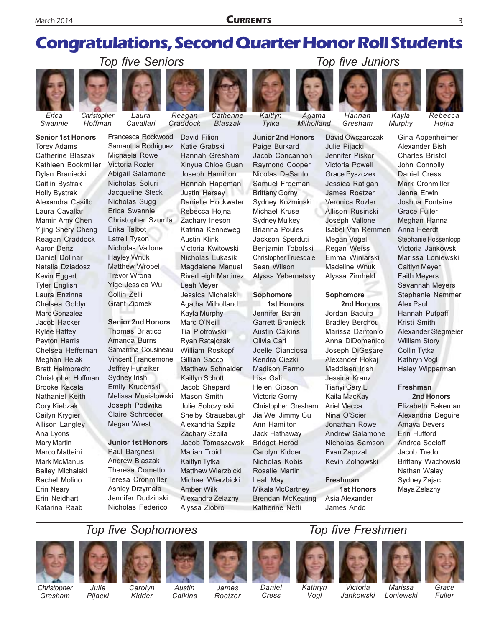### **Congratulations, Second Quarter Honor Roll Students**

Catherine

Blaszak



Swannie

**Torey Adams** 

**Senior 1st Honors** 

Catherine Blaszak

Dylan Braniecki

Alexandra Casillo

Mamin Amy Chen

**Yijing Shery Cheng** 

Reagan Craddock

**Aaron Denz** 

**Daniel Dolinar** 

Kevin Eggert

**Tyler English** 

Laura Enzinna

Chelsea Goldyn

**Marc Gonzalez** 

Jacob Hacker

**Rylee Haffey** 

Peyton Harris

**Meghan Helak** 

**Brooke Kacala** 

Nathaniel Keith

**Cory Kiebzak** 

Cailyn Krygier

Ana Lyons

**Mary Martin** 

Marco Matteini

**Mark McManus** 

Rachel Molino

Frin Neidhart

Katarina Raab

**Erin Nearv** 

**Bailey Michalski** 

**Allison Langley** 

**Brett Helmbrecht** 

Christopher Hoffman

Chelsea Heffernan

Natalia Dziadosz

Laura Cavallari

Caitlin Bystrak

**Holly Bystrak** 

Kathleen Bookmiller

Christopher Laura

Hoffman Cavallari

**Top five Seniors** 



Reagan

David Filion

Katie Grabski

Samantha Rodriguez Michaela Rowe Victoria Rozler Abigail Salamone Nicholas Soluri Jacqueline Steck Nicholas Sugg Erica Swannie Christopher Szumla Erika Talbot Latrell Tyson Nicholas Vallone **Hayley Wnuk Matthew Wrobel Trevor Wrona** Yige Jessica Wu Collin Zelli **Grant Ziomek** 

#### **Senior 2nd Honors**

**Thomas Briatico** Amanda Burns Samantha Cousineau **Vincent Francemone** Jeffrey Hunziker Sydney Irish Emily Krucenski Melissa Musialowski Joseph Podwika Claire Schroeder **Megan Wrest** 

#### **Junior 1st Honors**

Paul Bargnesi **Andrew Blaszak Theresa Cometto** Teresa Cronmiller Ashley Drzymala Jennifer Dudzinski Nicholas Federico

Hannah Gresham Xinyue Chloe Guan Joseph Hamilton Hannah Hapeman **Justin Hersey** Danielle Hockwater Rebecca Hojna Zachary Ineson Katrina Kenneweg **Austin Klink** Victoria Kwitowski Nicholas Lukasik Magdalene Manuel **RiverLeigh Martinez** Leah Meyer Jessica Michalski Agatha Milholland Kayla Murphy Marc O'Neill Tia Piotrowski Ryan Ratajczak William Roskopf Gillian Sacco Matthew Schneider Kaitlyn Schott Jacob Shepard Mason Smith Julie Sobczynski Shelby Strausbaugh Alexandria Szpila Zachary Szpila Jacob Tomaszewski Mariah Troidl Kaitlyn Tytka **Matthew Wierzbicki** Michael Wierzbicki

**Junior 2nd Honors** Paige Burkard Jacob Concannon Raymond Cooper Nicolas DeSanto Samuel Freeman **Brittany Gorny** Sydney Kozminski Michael Kruse **Sydney Mulkey Brianna Poules** Jackson Sperduti Benjamin Tobolski **Christopher Truesdale** Sean Wilson Alyssa Yebernetsky

Kaitlvn

Tytka

Agatha

Milholland

#### Sophomore

**1st Honors** Jennifer Baran **Garrett Branjecki Austin Calkins** Olivia Carl Joelle Cianciosa Kendra Ciezki Madison Fermo Lisa Gali Helen Gibson Victoria Gorny Christopher Gresham Jia Wei Jimmy Gu Ann Hamilton Jack Hathaway **Bridget Herod** Carolyn Kidder Nicholas Kobis Rosalie Martin Leah May **Mikala McCartney** Brendan McKeating Katherine Netti

Julie Pijacki Jennifer Piskor Victoria Powell **Grace Pyszczek** Jessica Ratigan James Roetzer Veronica Rozler **Allison Rusinski** Joseph Vallone Isabel Van Remmen Megan Vogel Regan Weiss Emma Winiarski **Madeline Wnuk** Alvssa Zirnheld

#### Sophomore

2nd Honors Jordan Badura **Bradley Berchou** Marissa Dantonio Anna DiDomenico Joseph DiGesare Alexander Hokai Maddisen Irish Jessica Kranz Tianyi Gary Li Kaila MacKay **Ariel Mecca** Nina O'Scier Jonathan Rowe Andrew Salamone Nicholas Samson Evan Zaprzal Kevin Zolnowski

#### **Freshman**

**1st Honors** Asia Alexander James Ando



Hannah

Gresham

David Owczarczak





Kavla Murphy Hojna Gina Appenheimer

Alexander Bish **Charles Bristol** John Connolly **Daniel Cress** Mark Cronmiller Jenna Erwin Joshua Fontaine **Grace Fuller** Meghan Hanna Anna Heerdt Stephanie Hossenlopp Victoria Jankowski Marissa Loniewski **Caitlyn Meyer Faith Meyers Savannah Meyers Stephanie Nemmer** Alex Paul Hannah Pufpaff Kristi Smith Alexander Stegmeier **William Story** Collin Tytka Kathryn Vogl Haley Wipperman

#### Freshman

Elizabeth Bakeman Alexandria Dequire **Amava Devers** Erin Hufford Andrea Seeloff Jacob Tredo Brittany Wachowski Nathan Waley Sydney Zajac

Christopher

Gresham









**Amber Wilk** 

Alyssa Ziobro

Alexandra Zelazny



James

Roetzer





Maya Zelazny

### **Top five Freshmen**









Daniel Cress

Kathryn

Loniewski

Grace Fuller

Vogl



Victoria

Jankowski



**Marissa** 

Pijacki

Kidder

Austin Calkins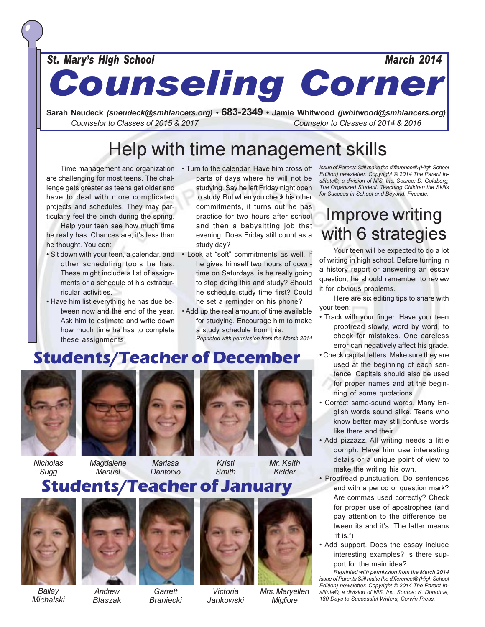St. Mary's High School

**Counseling Corner** 

Sarah Neudeck *(sneudeck@smhlancers.org)* • 683-2349 • Jamie Whitwood *(jwhitwood@smhlancers.org)* Counselor to Classes of 2015 & 2017 Counselor to Classes of 2014 & 2016

### Help with time management skills

are challenging for most teens. The challenge gets greater as teens get older and have to deal with more complicated projects and schedules. They may particularly feel the pinch during the spring.

Help your teen see how much time he really has. Chances are, it's less than he thought. You can:

- · Sit down with your teen, a calendar, and other scheduling tools he has. These might include a list of assignments or a schedule of his extracurricular activities.
- . Have him list everything he has due between now and the end of the year. Ask him to estimate and write down how much time he has to complete these assignments.
- Time management and organization . Turn to the calendar. Have him cross off parts of days where he will not be studying. Say he left Friday night open to study. But when you check his other commitments, it turns out he has practice for two hours after school and then a babysitting job that evening. Does Friday still count as a study day?
	- . Look at "soft" commitments as well. If he gives himself two hours of downtime on Saturdays, is he really going to stop doing this and study? Should he schedule study time first? Could he set a reminder on his phone?
	- . Add up the real amount of time available for studying. Encourage him to make a study schedule from this. Reprinted with permission from the March 2014

issue of Parents Still make the difference!® (High School Edition) newsletter. Copyright © 2014 The Parent Institute®, a division of NIS, Inc. Source: D. Goldberg, The Organized Student: Teaching Children the Skills for Success in School and Beyond, Fireside.

**March 2014** 

### **Improve writing** with 6 strategies

Your teen will be expected to do a lot of writing in high school. Before turning in a history report or answering an essay question, he should remember to review it for obvious problems.

Here are six editing tips to share with your teen:

- · Track with your finger. Have your teen proofread slowly, word by word, to check for mistakes. One careless error can negatively affect his grade.
- Check capital letters. Make sure they are used at the beginning of each sentence. Capitals should also be used for proper names and at the beginning of some quotations.
- · Correct same-sound words. Many English words sound alike. Teens who know better may still confuse words like there and their.
- . Add pizzazz. All writing needs a little oomph. Have him use interesting details or a unique point of view to make the writing his own.
- · Proofread punctuation. Do sentences end with a period or question mark? Are commas used correctly? Check for proper use of apostrophes (and pay attention to the difference between its and it's. The latter means "it is.")
- Add support. Does the essay include interesting examples? Is there support for the main idea?

Reprinted with permission from the March 2014 issue of Parents Still make the difference!® (High School Edition) newsletter. Copyright © 2014 The Parent Institute®, a division of NIS, Inc. Source: K. Donohue, 180 Davs to Successful Writers, Corwin Press.

### **Students/Teacher of December**



**Nicholas** Sugg



Magdalene **Manuel** 





Kristi Smith Mr. Keith Kidder

### **Students/Teacher of January**



Bailev **Michalski** 



Andrew **Blaszak** 

Garrett Victoria **Braniecki Jankowski** 



Mrs. Maryellen **Migliore**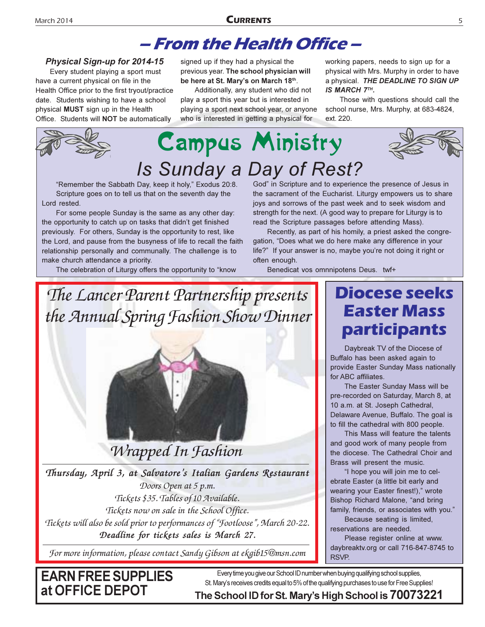### – From the Health Office –

#### **Physical Sign-up for 2014-15**

Every student playing a sport must have a current physical on file in the Health Office prior to the first tryout/practice date. Students wishing to have a school physical MUST sign up in the Health Office. Students will **NOT** be automatically

signed up if they had a physical the previous year. The school physician will be here at St. Mary's on March 18th.

Additionally, any student who did not play a sport this year but is interested in playing a sport next school year, or anyone who is interested in getting a physical for

working papers, needs to sign up for a physical with Mrs. Murphy in order to have a physical. THE DEADLINE TO SIGN UP IS MARCH 7TH.

Those with questions should call the school nurse, Mrs. Murphy, at 683-4824, ext. 220.



"Remember the Sabbath Day, keep it holy," Exodus 20:8. Scripture goes on to tell us that on the seventh day the Lord rested.

For some people Sunday is the same as any other day: the opportunity to catch up on tasks that didn't get finished previously. For others, Sunday is the opportunity to rest, like the Lord, and pause from the busyness of life to recall the faith relationship personally and communally. The challenge is to make church attendance a priority.

The celebration of Liturgy offers the opportunity to "know

God" in Scripture and to experience the presence of Jesus in the sacrament of the Eucharist. Liturgy empowers us to share joys and sorrows of the past week and to seek wisdom and strength for the next. (A good way to prepare for Liturgy is to read the Scripture passages before attending Mass).

Recently, as part of his homily, a priest asked the congregation, "Does what we do here make any difference in your life?" If your answer is no, maybe you're not doing it right or often enough.

Benedicat vos omnnipotens Deus. twf+

### The Lancer Parent Partnership presents the Annual Spring Fashion Show Dinner



Thursday, April 3, at Salvatore's Italian Gardens Restaurant Doors Open at 5 p.m. Tickets \$35. Tables of 10 Available. Tickets now on sale in the School Office. Tickets will also be sold prior to performances of "Footloose", March 20-22. Deadline for tickets sales is March 27.

For more information, please contact Sandy Gibson at ekgib15@msn.com

### **Diocese seeks Easter Mass** participants

Daybreak TV of the Diocese of Buffalo has been asked again to provide Easter Sunday Mass nationally for ABC affiliates.

The Easter Sunday Mass will be pre-recorded on Saturday, March 8, at 10 a.m. at St. Joseph Cathedral, Delaware Avenue, Buffalo. The goal is to fill the cathedral with 800 people.

This Mass will feature the talents and good work of many people from the diocese. The Cathedral Choir and Brass will present the music.

"I hope you will join me to celebrate Easter (a little bit early and wearing your Easter finest!)," wrote Bishop Richard Malone, "and bring family, friends, or associates with you."

Because seating is limited, reservations are needed.

Please register online at www. daybreaktv.org or call 716-847-8745 to RSVP.

**EARN FREE SUPPLIES** at OFFICE DEPOT

Every time you give our School ID number when buying qualifying school supplies, St. Mary's receives credits equal to 5% of the qualifying purchases to use for Free Supplies!

The School ID for St. Mary's High School is 70073221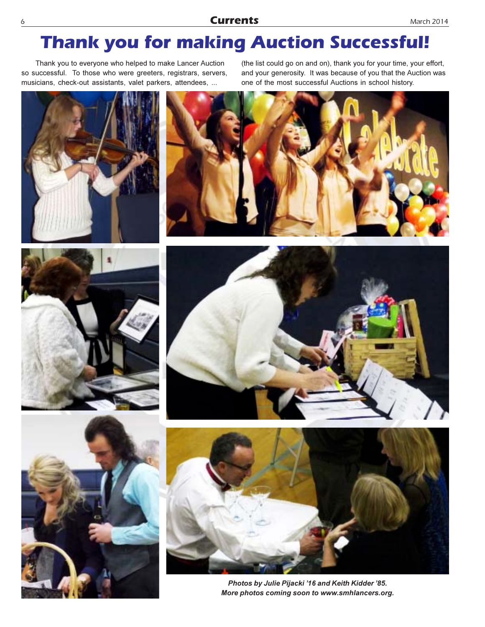### **Thank you for making Auction Successful!**

Thank you to everyone who helped to make Lancer Auction so successful. To those who were greeters, registrars, servers, musicians, check-out assistants, valet parkers, attendees, ...

(the list could go on and on), thank you for your time, your effort, and your generosity. It was because of you that the Auction was one of the most successful Auctions in school history.











Photos by Julie Pijacki '16 and Keith Kidder '85. More photos coming soon to www.smhlancers.org.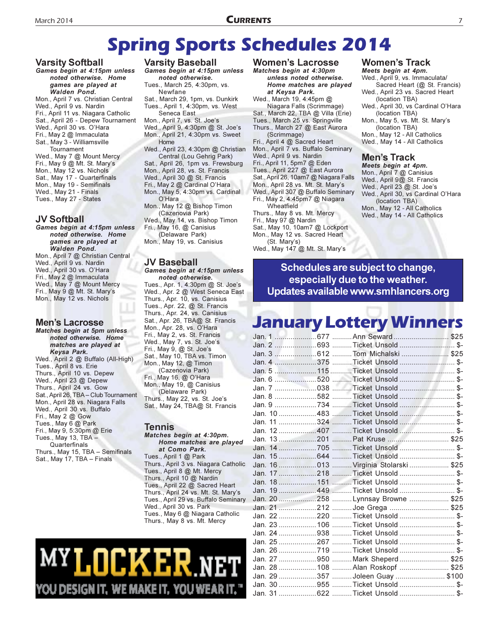### **Spring Sports Schedules 2014**

#### **Varsity Softball**

Games begin at 4:15pm unless noted otherwise. Home games are played at Walden Pond. Mon., April 7 vs. Christian Central Wed., April 9 vs. Nardin Fri., April 11 vs. Niagara Catholic Sat., April 26 - Depew Tournament Wed., April 30 vs. O'Hara Fri., May 2 @ Immaculata Sat., May 3 - Williamsville Tournament Wed., May 7 @ Mount Mercy Fri., May 9 @ Mt. St. Mary's Mon., May 12 vs. Nichols Sat., May 17 - Quarterfinals Mon., May 19 - Semifinals

Wed., May 21 - Finals

Tues., May 27 - States

#### **JV Softball**

Games begin at 4:15pm unless noted otherwise. Home games are played at **Walden Pond.** Mon., April 7 @ Christian Central

Wed., April 9 vs. Nardin Wed., April 30 vs. O'Hara Fri., May 2 @ Immaculata Wed., May 7 @ Mount Mercy Fri., May 9 @ Mt. St. Mary's Mon., May 12 vs. Nichols

#### **Men's Lacrosse**

Matches begin at 5pm unless noted otherwise. Home matches are played at Keysa Park. Wed., April 2 @ Buffalo (All-High) Tues., April 8 vs. Erie Thurs., April 10 vs. Depew Wed., April 23 @ Depew Thurs., April 24 vs. Gow Sat., April 26, TBA - Club Tournament Mon., April 28 vs. Niagara Falls Wed., April 30 vs. Buffalo Fri., May 2 @ Gow Tues., May 6 @ Park Fri., May 9, 5:30pm @ Erie Tues., May 13, TBA -Quarterfinals Thurs., May 15, TBA - Semifinals Sat., May 17, TBA - Finals

**Varsity Baseball** Games begin at 4:15pm unless noted otherwise. Tues., March 25, 4:30pm, vs. Newfane Sat., March 29, 1pm, vs. Dunkirk Tues., April 1, 4:30pm, vs. West Seneca East Mon., April 7, vs. St. Joe's Wed., April 9, 4:30pm @ St. Joe's Mon., April 21, 4:30pm vs. Sweet Home Wed., April 23, 4:30pm @ Christian Central (Lou Gehrig Park) Sat., April 26, 1pm vs. Frewsburg Mon., April 28, vs. St. Francis Wed., April 30 @ St. Francis Fri., May 2 @ Cardinal O'Hara Mon., May 5, 4:30pm vs. Cardinal O'Hara Mon., May 12 @ Bishop Timon (Cazenovia Park) Wed., May 14, vs. Bishop Timon Fri., May 16, @ Canisius (Delaware Park) Mon., May 19, vs. Canisius

#### **JV Baseball**

#### Games begin at 4:15pm unless noted otherwise.

Tues., Apr. 1, 4:30pm @ St. Joe's Wed., Apr. 2 @ West Seneca East Thurs., Apr. 10, vs. Canisius Tues., Apr. 22, @ St. Francis Thurs., Apr. 24, vs. Canisius Sat., Apr. 26, TBA@ St. Francis Mon., Apr. 28, vs. O'Hara Fri., May 2, vs. St. Francis Wed., May 7, vs. St. Joe's Fri., May 9, @ St. Joe's Sat., May 10, TBA vs. Timon Mon., May 12, @ Timon (Cazenovia Park) Fri., May 16, @ O'Hara Mon., May 19, @ Canisius (Delaware Park) Thurs., May 22, vs. St. Joe's Sat., May 24, TBA@ St. Francis

#### Tennis

Matches begin at 4:30pm. Home matches are played at Como Park. Tues., April 1 @ Park Thurs., April 3 vs. Niagara Catholic Tues., April 8 @ Mt. Mercy Thurs., April 10 @ Nardin Tues., April 22 @ Sacred Heart Thurs., April 24 vs. Mt. St. Mary's Tues., April 29 vs. Buffalo Seminary Wed., April 30 vs. Park Tues., May 6 @ Niagara Catholic Thurs., May 8 vs. Mt. Mercy

# **MYLOCKER** U DESIGN IT, WE MAKE IT, YOU WEAR IT

#### **Women's Lacrosse**

Matches begin at 4:30pm unless noted otherwise. Home matches are played at Keysa Park. Wed., March 19, 4:45pm @ Niagara Falls (Scrimmage) Sat., March 22, TBA @ Villa (Erie) Tues., March 25 vs. Springville Thurs., March 27 @ East Aurora (Scrimmage) Fri., April 4 @ Sacred Heart Mon., April 7 vs. Buffalo Seminary Wed., April 9 vs. Nardin Fri., April 11, 5pm7 @ Eden Tues., April 227 @ East Aurora Sat., April 26, 10am7 @ Niagara Falls Mon., April 28 vs. Mt. St. Mary's Wed., April 307 @ Buffalo Seminary Fri., May 2, 4:45pm7 @ Niagara Wheatfield Thurs., May 8 vs. Mt. Mercy Fri., May 97 @ Nardin Sat., May 10, 10am7 @ Lockport Mon., May 12 vs. Sacred Heart (St. Mary's) Wed., May 147 @ Mt. St. Mary's

#### Women's Track

Meets begin at 4pm. Wed., April 9, vs. Immaculata/ Sacred Heart (@ St. Francis) Wed., April 23 vs. Sacred Heart (location TBA) Wed., April 30, vs Cardinal O'Hara (location TBA) Mon., May 5, vs. Mt. St. Mary's (location TBA) Mon., May 12 - All Catholics Wed., May 14 - All Catholics

#### Men's Track

Meets begin at 4pm. Mon., April 7 @ Canisius Wed., April 9@ St. Francis Wed., April 23 @ St. Joe's Wed., April 30, vs Cardinal O'Hara (location TBA) Mon., May 12 - All Catholics Wed., May 14 - All Catholics

Schedules are subject to change, especially due to the weather. Updates available www.smhlancers.org

### **January Lottery Winners**

|  | Jan. 2 693 Ticket Unsold \$-          |  |
|--|---------------------------------------|--|
|  |                                       |  |
|  | Jan. 4 375 Ticket Unsold \$-          |  |
|  |                                       |  |
|  |                                       |  |
|  |                                       |  |
|  | Jan. 8 582 Ticket Unsold \$-          |  |
|  | Jan. 9 734 Ticket Unsold \$-          |  |
|  | Jan. 10 483 Ticket Unsold  \$-        |  |
|  | Jan. 11 324 Ticket Unsold  \$-        |  |
|  | Jan. 12 407 Ticket Unsold \$-         |  |
|  |                                       |  |
|  |                                       |  |
|  | Jan. 15 644 Ticket Unsold \$-         |  |
|  | Jan. 16 013  Virginia Stolarski  \$25 |  |
|  | Jan. 17 218 Ticket Unsold \$-         |  |
|  |                                       |  |
|  | Jan. 19 449 Ticket Unsold \$-         |  |
|  |                                       |  |
|  | Jan. 21 Joe Grega  \$25               |  |
|  |                                       |  |
|  | Jan. 23  106 Ticket Unsold \$-        |  |
|  | Jan. 24 938 Ticket Unsold \$-         |  |
|  | Jan. 25 267 Ticket Unsold \$-         |  |
|  | Jan. 26 719 Ticket Unsold \$-         |  |
|  | Jan. 27 950  Mark Sheperd  \$25       |  |
|  | Jan. 28  108  Alan Roskopf  \$25      |  |
|  | Jan. 29 357 Joleen Guay \$100         |  |
|  | Jan. 30 955 Ticket Unsold \$-         |  |
|  | Jan. 31 622 Ticket Unsold \$-         |  |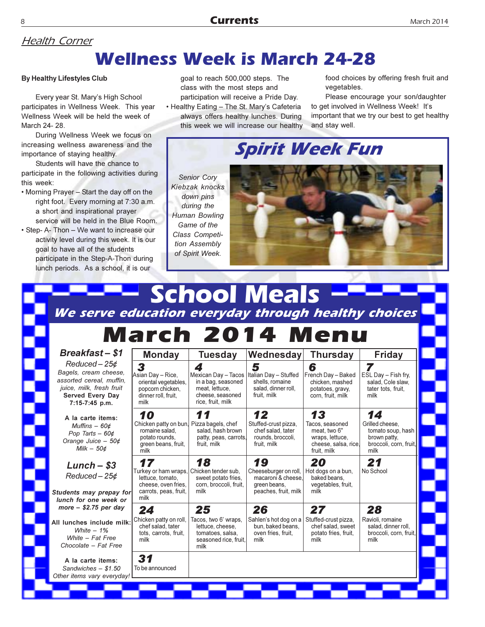# **Health Corner**

### **Wellness Week is March 24-28**

#### **By Healthy Lifestyles Club**

Every year St. Mary's High School participates in Wellness Week. This year Wellness Week will be held the week of March 24-28.

During Wellness Week we focus on increasing wellness awareness and the importance of staying healthy.

Students will have the chance to participate in the following activities during this week:

- . Morning Prayer Start the day off on the right foot. Every morning at 7:30 a.m. a short and inspirational prayer service will be held in the Blue Room.
- Step- A- Thon We want to increase our activity level during this week. It is our goal to have all of the students participate in the Step-A-Thon during lunch periods. As a school, it is our

Š

goal to reach 500,000 steps. The class with the most steps and participation will receive a Pride Day.

• Healthy Eating - The St. Mary's Cafeteria always offers healthy lunches. During this week we will increase our healthy food choices by offering fresh fruit and vegetables.

Please encourage your son/daughter to get involved in Wellness Week! It's important that we try our best to get healthy and stay well.

**Spirit Week Fun** 

Senior Cory Kiebzak knocks down pins during the Human Bowling Game of the Class Competition Assembly of Spirit Week.



### **School Meals** We serve education everyday through healthy choices March 2014 Menu

| <b>Breakfast-\$1</b>                                                                                                                          | <b>Monday</b>                                                                                                              | Tuesday                                                                                                   | Wednesday                                                                                 | <b>Thursday</b>                                                                                 | <b>Friday</b>                                                                                |
|-----------------------------------------------------------------------------------------------------------------------------------------------|----------------------------------------------------------------------------------------------------------------------------|-----------------------------------------------------------------------------------------------------------|-------------------------------------------------------------------------------------------|-------------------------------------------------------------------------------------------------|----------------------------------------------------------------------------------------------|
| $Reduced - 25¢$<br>Bagels, cream cheese,<br>assorted cereal, muffin,<br>juice, milk, fresh fruit<br><b>Served Every Day</b><br>7:15-7:45 p.m. | 3<br>Asian Dav – Rice.<br>oriental vegetables,<br>popcorn chicken,<br>dinner roll, fruit,<br>milk                          | 4<br>Mexican Day - Tacos<br>in a bag, seasoned<br>meat. lettuce.<br>cheese, seasoned<br>rice, fruit, milk | 5<br>Italian Day - Stuffed<br>shells, romaine<br>salad, dinner roll,<br>fruit. milk       | 6<br>French Day - Baked<br>chicken, mashed<br>potatoes, gravy,<br>corn, fruit, milk             | 7<br>ESL Day - Fish fry.<br>salad. Cole slaw.<br>tater tots, fruit,<br>milk                  |
| A la carte items:<br>Muffins $-60c$<br>Pop Tarts $-60¢$<br>Orange Juice $-50¢$<br>Milk $-50¢$                                                 | 10<br>Chicken patty on bun. Pizza bagels, chef<br>romaine salad,<br>potato rounds.<br>green beans, fruit,<br>milk          | salad, hash brown<br>patty, peas, carrots,<br>fruit, milk                                                 | 12<br>Stuffed-crust pizza,<br>chef salad, tater<br>rounds, broccoli,<br>fruit, milk       | 13<br>Tacos, seasoned<br>meat. two 6"<br>wraps, lettuce,<br>cheese, salsa, rice,<br>fruit, milk | 14<br>Grilled cheese.<br>tomato soup, hash<br>brown patty.<br>broccoli, corn, fruit,<br>milk |
| $Lunch - $3$<br>$Reduced - 25¢$<br>Students may prepay for<br>lunch for one week or                                                           | 17<br>Turkey or ham wraps, Chicken tender sub,<br>lettuce, tomato,<br>cheese, oven fries.<br>carrots, peas, fruit,<br>milk | 18<br>sweet potato fries.<br>corn, broccoli, fruit,<br>milk                                               | 19<br>Cheeseburger on roll,<br>macaroni & cheese,<br>green beans.<br>peaches, fruit, milk | 20<br>Hot dogs on a bun,<br>baked beans.<br>vegetables, fruit,<br>milk                          | 21<br>No School                                                                              |
| more $-$ \$2.75 per day<br>All lunches include milk:<br>White $-1\%$<br>White - Fat Free<br>Chocolate - Fat Free                              | 24<br>Chicken patty on roll,<br>chef salad, tater<br>tots, carrots, fruit,<br>milk                                         | 25<br>Tacos, two 6' wraps,<br>lettuce, cheese,<br>tomatoes, salsa,<br>seasoned rice, fruit,<br>milk       | 26<br>Sahlen's hot dog on a<br>bun, baked beans,<br>oven fries, fruit,<br>milk            | 27<br>Stuffed-crust pizza,<br>chef salad, sweet<br>potato fries, fruit,<br>milk                 | 28<br>Ravioli, romaine<br>salad, dinner roll.<br>broccoli, corn, fruit,<br>milk              |
| A la carte items:<br>Sandwiches $-$ \$1.50<br>Other items vary everyday!                                                                      | 31<br>To be announced                                                                                                      |                                                                                                           |                                                                                           |                                                                                                 |                                                                                              |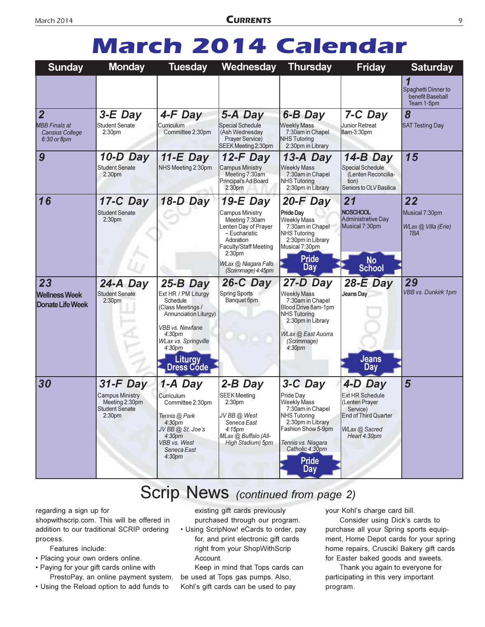# **March 2014 Calendar**

| <b>Sunday</b>                                                                   | <b>Monday</b>                                                                                         | <b>Tuesday</b>                                                                                                                                                                                                            | <b>Wednesday</b>                                                                                                                                                                               | <b>Thursday</b>                                                                                                                                                                                   | <b>Friday</b>                                                                                                            | <b>Saturday</b>                                           |
|---------------------------------------------------------------------------------|-------------------------------------------------------------------------------------------------------|---------------------------------------------------------------------------------------------------------------------------------------------------------------------------------------------------------------------------|------------------------------------------------------------------------------------------------------------------------------------------------------------------------------------------------|---------------------------------------------------------------------------------------------------------------------------------------------------------------------------------------------------|--------------------------------------------------------------------------------------------------------------------------|-----------------------------------------------------------|
|                                                                                 |                                                                                                       |                                                                                                                                                                                                                           |                                                                                                                                                                                                |                                                                                                                                                                                                   |                                                                                                                          | Spaghetti Dinner to<br>benefit Baseball<br>Team 1-5pm     |
| $\overline{2}$<br><b>MBB Finals at</b><br><b>Cansius College</b><br>6:30 or 8pm | $3-E$ Day<br><b>Student Senate</b><br>2:30 <sub>pm</sub>                                              | 4-F Day<br>Curriculum<br>Committee 2:30pm                                                                                                                                                                                 | 5-A Day<br>Special Schedule<br>(Ash Wednesday<br><b>Prayer Service)</b><br>SEEK Meeting 2:30pm                                                                                                 | 6-B Day<br><b>Weekly Mass</b><br>7:30am in Chapel<br><b>NHS</b> Tutoring<br>2:30pm in Library                                                                                                     | 7-C Day<br>Junior Retreat<br>8am-3:30pm                                                                                  | 8<br><b>SAT Testing Day</b>                               |
| $\boldsymbol{9}$                                                                | $10-D$ Day<br><b>Student Senate</b><br>2:30 <sub>pm</sub>                                             | $11-E$ Day<br>NHS Meeting 2:30pm                                                                                                                                                                                          | $12-F$ Day<br><b>Campus Ministry</b><br>Meeting 7:30am<br>Principal's Ad Board<br>2:30 <sub>pm</sub>                                                                                           | 13-A Day<br><b>Weekly Mass</b><br>7:30am in Chapel<br><b>NHS Tutoring</b><br>2:30pm in Library                                                                                                    | 14-B Day<br><b>Special Schedule</b><br>(Lenten Reconcilia-<br>tion)<br>Seniors to OLV Basilica                           | 15                                                        |
| 16                                                                              | 17-C Day<br><b>Student Senate</b><br>2:30 <sub>pm</sub>                                               | 18-D Day                                                                                                                                                                                                                  | $19-E$ Day<br><b>Campus Ministry</b><br>Meeting 7:30am<br>Lenten Day of Prayer<br>$-Eucharistic$<br>Adoration<br>Faculty/Staff Meeting<br>2:30pm<br>WLax @ Niagara Falls<br>(Scrimmage) 4:45pm | $20-F$ Day<br>Pride Dav<br><b>Weekly Mass</b><br>7:30am in Chapel<br><b>NHS Tutoring</b><br>2:30pm in Library<br>Musical 7:30pm<br><b>Pride</b><br>Day                                            | 21<br><b>NOSCHOOL</b><br>Administrative Day<br>Musical 7:30pm<br><b>No</b><br><b>School</b>                              | 22<br>Musical 7:30pm<br>WLax @ Villa (Erie)<br><b>TBA</b> |
| 23<br><b>Wellness Week</b><br><b>Donate Life Week</b>                           | 24-A Day<br><b>Student Senate</b><br>2:30 <sub>pm</sub>                                               | $25-B$ Day<br>Ext HR / PM Liturgy<br>Schedule<br>(Class Meetings /<br>Annunciation Liturgy)<br><b>VBB</b> vs. Newfane<br>4:30 <sub>pm</sub><br><b>WLax vs. Springville</b><br>4:30 <sub>pm</sub><br>Liturgy<br>Dress Code | $26-C$ Day<br><b>Spring Sports</b><br>Banquet 6pm                                                                                                                                              | 27-D Day<br><b>Weekly Mass</b><br>7:30am in Chapel<br>Blood Drive 8am-1pm<br><b>NHS Tutoring</b><br>2:30pm in Library<br>WLax @ East Auorra<br>(Scrimmage)<br>4:30 <sub>pm</sub>                  | $28-E$ Day<br><b>Jeans Day</b><br><b>Jeans</b><br><b>Day</b>                                                             | 29<br><b>VBB vs. Dunkirk 1pm</b>                          |
| 30                                                                              | $31-F$ Day<br><b>Campus Ministry</b><br>Meeting 2:30pm<br><b>Student Senate</b><br>2:30 <sub>pm</sub> | 1-A Day<br>Curriculum<br>Committee 2:30pm<br>Tennis @ Park<br>4:30 <sub>pm</sub><br>JV BB @ St. Joe's<br>4:30 <sub>pm</sub><br><b>VBB</b> vs. West<br>Seneca East<br>4:30 <sub>pm</sub>                                   | $2-B$ Day<br><b>SEEK Meeting</b><br>2:30 <sub>pm</sub><br>JV BB @ West<br>Seneca East<br>4:15 <sub>pm</sub><br>MLax @ Buffalo (All-<br>High Stadium) 5pm                                       | 3-C Day<br>Pride Day<br>Weekly Mass<br>7:30am in Chapel<br><b>INHS Tutoring</b><br>2:30pm in Library<br>Fashion Show 5-9pm<br>Tennis vs. Niagara<br>Catholic 4:30pm<br><b>Pride</b><br><b>Day</b> | 4-D Day<br><b>Ext HR Schedule</b><br>(Lenten Prayer<br>Service)<br>End of Third Quarter<br>WLax @ Sacred<br>Heart 4:30pm | 5                                                         |

### Scrip News (continued from page 2)

regarding a sign up for

shopwithscrip.com. This will be offered in addition to our traditional SCRIP ordering process.

Features include:

- Placing your own orders online.
- Paying for your gift cards online with PrestoPay, an online payment system.
- Using the Reload option to add funds to

existing gift cards previously purchased through our program.

• Using ScripNow! eCards to order, pay for, and print electronic gift cards right from your ShopWithScrip Account.

Keep in mind that Tops cards can be used at Tops gas pumps. Also, Kohl's gift cards can be used to pay

your Kohl's charge card bill.

Consider using Dick's cards to purchase all your Spring sports equipment, Home Depot cards for your spring home repairs, Crusciki Bakery gift cards for Easter baked goods and sweets.

Thank you again to everyone for participating in this very important program.